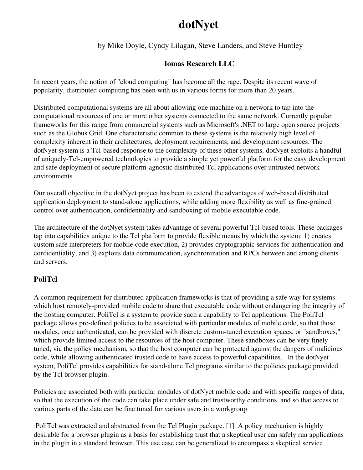# dotNyet

by Mike Doyle, Cyndy Lilagan, Steve Landers, and Steve Huntley

# Iomas Research LLC

In recent years, the notion of "cloud computing" has become all the rage. Despite its recent wave of popularity, distributed computing has been with us in various forms for more than 20 years.

Distributed computational systems are all about allowing one machine on a network to tap into the computational resources of one or more other systems connected to the same network. Currently popular frameworks for this range from commercial systems such as Microsoft's .NET to large open source projects such as the Globus Grid. One characteristic common to these systems is the relatively high level of complexity inherent in their architectures, deployment requirements, and development resources. The dotNyet system is a Tcl-based response to the complexity of these other systems. dotNyet exploits a handful of uniquely-Tcl-empowered technologies to provide a simple yet powerful platform for the easy development and safe deployment of secure platform-agnostic distributed Tcl applications over untrusted network environments.

Our overall objective in the dotNyet project has been to extend the advantages of web-based distributed application deployment to stand-alone applications, while adding more flexibility as well as fine-grained control over authentication, confidentiality and sandboxing of mobile executable code.

The architecture of the dotNyet system takes advantage of several powerful Tcl-based tools. These packages tap into capabilities unique to the Tcl platform to provide flexible means by which the system: 1) creates custom safe interpreters for mobile code execution, 2) provides cryptographic services for authentication and confidentiality, and 3) exploits data communication, synchronization and RPCs between and among clients and servers.

## PoliTcl

A common requirement for distributed application frameworks is that of providing a safe way for systems which host remotely-provided mobile code to share that executable code without endangering the integrity of the hosting computer. PoliTcl is a system to provide such a capability to Tcl applications. The PoliTcl package allows pre-defined policies to be associated with particular modules of mobile code, so that those modules, once authenticated, can be provided with discrete custom-tuned execution spaces, or "sandboxes," which provide limited access to the resources of the host computer. These sandboxes can be very finely tuned, via the policy mechanism, so that the host computer can be protected against the dangers of malicious code, while allowing authenticated trusted code to have access to powerful capabilities. In the dotNyet system, PoliTcl provides capabilities for stand-alone Tcl programs similar to the policies package provided by the Tcl browser plugin.

Policies are associated both with particular modules of dotNyet mobile code and with specific ranges of data, so that the execution of the code can take place under safe and trustworthy conditions, and so that access to various parts of the data can be fine tuned for various users in a workgroup

 PoliTcl was extracted and abstracted from the Tcl Plugin package. [1] A policy mechanism is highly desirable for a browser plugin as a basis for establishing trust that a skeptical user can safely run applications in the plugin in a standard browser. This use case can be generalized to encompass a skeptical service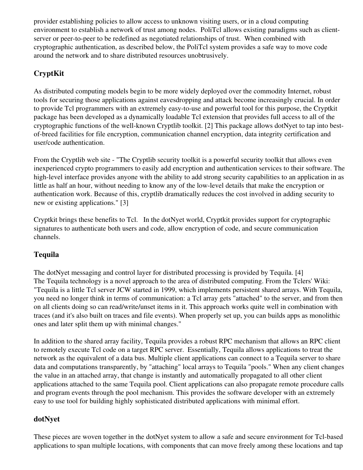provider establishing policies to allow access to unknown visiting users, or in a cloud computing environment to establish a network of trust among nodes. PoliTcl allows existing paradigms such as clientserver or peer-to-peer to be redefined as negotiated relationships of trust. When combined with cryptographic authentication, as described below, the PoliTcl system provides a safe way to move code around the network and to share distributed resources unobtrusively.

# CryptKit

As distributed computing models begin to be more widely deployed over the commodity Internet, robust tools for securing those applications against eavesdropping and attack become increasingly crucial. In order to provide Tcl programmers with an extremely easy-to-use and powerful tool for this purpose, the Cryptkit package has been developed as a dynamically loadable Tcl extension that provides full access to all of the cryptographic functions of the well-known Cryptlib toolkit. [2] This package allows dotNyet to tap into bestof-breed facilities for file encryption, communication channel encryption, data integrity certification and user/code authentication.

From the Cryptlib web site - "The Cryptlib security toolkit is a powerful security toolkit that allows even inexperienced crypto programmers to easily add encryption and authentication services to their software. The high-level interface provides anyone with the ability to add strong security capabilities to an application in as little as half an hour, without needing to know any of the low-level details that make the encryption or authentication work. Because of this, cryptlib dramatically reduces the cost involved in adding security to new or existing applications." [3]

Cryptkit brings these benefits to Tcl. In the dotNyet world, Cryptkit provides support for cryptographic signatures to authenticate both users and code, allow encryption of code, and secure communication channels.

## Tequila

The dotNyet messaging and control layer for distributed processing is provided by Tequila. [4] The Tequila technology is a novel approach to the area of distributed computing. From the Tclers' Wiki: "Tequila is a little Tcl server JCW started in 1999, which implements persistent shared arrays. With Tequila, you need no longer think in terms of communication: a Tcl array gets "attached" to the server, and from then on all clients doing so can read/write/unset items in it. This approach works quite well in combination with traces (and it's also built on traces and file events). When properly set up, you can builds apps as monolithic ones and later split them up with minimal changes."

In addition to the shared array facility, Tequila provides a robust RPC mechanism that allows an RPC client to remotely execute Tcl code on a target RPC server. Essentially, Tequila allows applications to treat the network as the equivalent of a data bus. Multiple client applications can connect to a Tequila server to share data and computations transparently, by "attaching" local arrays to Tequila "pools." When any client changes the value in an attached array, that change is instantly and automatically propagated to all other client applications attached to the same Tequila pool. Client applications can also propagate remote procedure calls and program events through the pool mechanism. This provides the software developer with an extremely easy to use tool for building highly sophisticated distributed applications with minimal effort.

## dotNyet

These pieces are woven together in the dotNyet system to allow a safe and secure environment for Tcl-based applications to span multiple locations, with components that can move freely among these locations and tap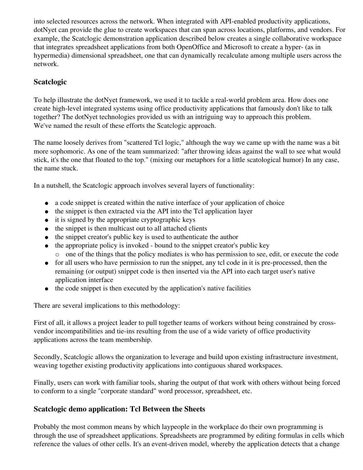into selected resources across the network. When integrated with API-enabled productivity applications, dotNyet can provide the glue to create workspaces that can span across locations, platforms, and vendors. For example, the Scatclogic demonstration application described below creates a single collaborative workspace that integrates spreadsheet applications from both OpenOffice and Microsoft to create a hyper- (as in hypermedia) dimensional spreadsheet, one that can dynamically recalculate among multiple users across the network.

#### Scatclogic

To help illustrate the dotNyet framework, we used it to tackle a real-world problem area. How does one create high-level integrated systems using office productivity applications that famously don't like to talk together? The dotNyet technologies provided us with an intriguing way to approach this problem. We've named the result of these efforts the Scatclogic approach.

The name loosely derives from "scattered Tcl logic," although the way we came up with the name was a bit more sophomoric. As one of the team summarized: "after throwing ideas against the wall to see what would stick, it's the one that floated to the top." (mixing our metaphors for a little scatological humor) In any case, the name stuck.

In a nutshell, the Scatclogic approach involves several layers of functionality:

- a code snippet is created within the native interface of your application of choice
- the snippet is then extracted via the API into the Tcl application layer
- it is signed by the appropriate cryptographic keys
- the snippet is then multicast out to all attached clients
- the snippet creator's public key is used to authenticate the author
- the appropriate policy is invoked bound to the snippet creator's public key one of the things that the policy mediates is who has permission to see, edit, or execute the code
- for all users who have permission to run the snippet, any tcl code in it is pre-processed, then the remaining (or output) snippet code is then inserted via the API into each target user's native application interface
- the code snippet is then executed by the application's native facilities

There are several implications to this methodology:

First of all, it allows a project leader to pull together teams of workers without being constrained by crossvendor incompatibilities and tie-ins resulting from the use of a wide variety of office productivity applications across the team membership.

Secondly, Scatclogic allows the organization to leverage and build upon existing infrastructure investment, weaving together existing productivity applications into contiguous shared workspaces.

Finally, users can work with familiar tools, sharing the output of that work with others without being forced to conform to a single "corporate standard" word processor, spreadsheet, etc.

## Scatclogic demo application: Tcl Between the Sheets

Probably the most common means by which laypeople in the workplace do their own programming is through the use of spreadsheet applications. Spreadsheets are programmed by editing formulas in cells which reference the values of other cells. It's an event-driven model, whereby the application detects that a change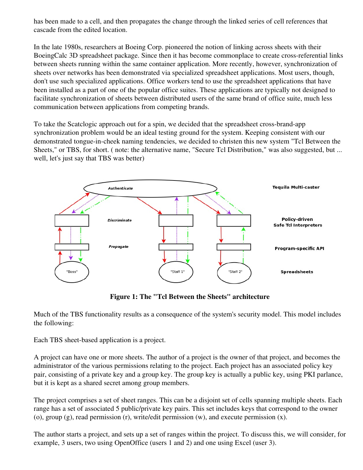has been made to a cell, and then propagates the change through the linked series of cell references that cascade from the edited location.

In the late 1980s, researchers at Boeing Corp. pioneered the notion of linking across sheets with their BoeingCalc 3D spreadsheet package. Since then it has become commonplace to create cross-referential links between sheets running within the same container application. More recently, however, synchronization of sheets over networks has been demonstrated via specialized spreadsheet applications. Most users, though, don't use such specialized applications. Office workers tend to use the spreadsheet applications that have been installed as a part of one of the popular office suites. These applications are typically not designed to facilitate synchronization of sheets between distributed users of the same brand of office suite, much less communication between applications from competing brands.

To take the Scatclogic approach out for a spin, we decided that the spreadsheet cross-brand-app synchronization problem would be an ideal testing ground for the system. Keeping consistent with our demonstrated tongue-in-cheek naming tendencies, we decided to christen this new system "Tcl Between the Sheets," or TBS, for short. ( note: the alternative name, "Secure Tcl Distribution," was also suggested, but ... well, let's just say that TBS was better)



Figure 1: The "Tcl Between the Sheets" architecture

Much of the TBS functionality results as a consequence of the system's security model. This model includes the following:

Each TBS sheet-based application is a project.

A project can have one or more sheets. The author of a project is the owner of that project, and becomes the administrator of the various permissions relating to the project. Each project has an associated policy key pair, consisting of a private key and a group key. The group key is actually a public key, using PKI parlance, but it is kept as a shared secret among group members.

The project comprises a set of sheet ranges. This can be a disjoint set of cells spanning multiple sheets. Each range has a set of associated 5 public/private key pairs. This set includes keys that correspond to the owner (o), group (g), read permission (r), write/edit permission (w), and execute permission (x).

The author starts a project, and sets up a set of ranges within the project. To discuss this, we will consider, for example, 3 users, two using OpenOffice (users 1 and 2) and one using Excel (user 3).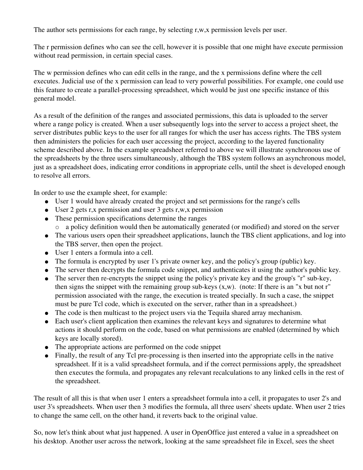The author sets permissions for each range, by selecting r,w,x permission levels per user.

The r permission defines who can see the cell, however it is possible that one might have execute permission without read permission, in certain special cases.

The w permission defines who can edit cells in the range, and the x permissions define where the cell executes. Judicial use of the x permission can lead to very powerful possibilities. For example, one could use this feature to create a parallel-processing spreadsheet, which would be just one specific instance of this general model.

As a result of the definition of the ranges and associated permissions, this data is uploaded to the server where a range policy is created. When a user subsequently logs into the server to access a project sheet, the server distributes public keys to the user for all ranges for which the user has access rights. The TBS system then administers the policies for each user accessing the project, according to the layered functionality scheme described above. In the example spreadsheet referred to above we will illustrate synchronous use of the spreadsheets by the three users simultaneously, although the TBS system follows an asynchronous model, just as a spreadsheet does, indicating error conditions in appropriate cells, until the sheet is developed enough to resolve all errors.

In order to use the example sheet, for example:

- User 1 would have already created the project and set permissions for the range's cells
- User 2 gets r,x permission and user 3 gets r,w,x permission
- These permission specifications determine the ranges a policy definition would then be automatically generated (or modified) and stored on the server
- The various users open their spreadsheet applications, launch the TBS client applications, and log into the TBS server, then open the project.
- User 1 enters a formula into a cell.
- The formula is encrypted by user 1's private owner key, and the policy's group (public) key.
- The server then decrypts the formula code snippet, and authenticates it using the author's public key.
- The server then re-encrypts the snippet using the policy's private key and the group's "r" sub-key, then signs the snippet with the remaining group sub-keys  $(x, w)$ . (note: If there is an "x but not r" permission associated with the range, the execution is treated specially. In such a case, the snippet must be pure Tcl code, which is executed on the server, rather than in a spreadsheet.)
- The code is then multicast to the project users via the Tequila shared array mechanism.
- Each user's client application then examines the relevant keys and signatures to determine what actions it should perform on the code, based on what permissions are enabled (determined by which keys are locally stored).
- The appropriate actions are performed on the code snippet
- Finally, the result of any Tcl pre-processing is then inserted into the appropriate cells in the native spreadsheet. If it is a valid spreadsheet formula, and if the correct permissions apply, the spreadsheet then executes the formula, and propagates any relevant recalculations to any linked cells in the rest of the spreadsheet.

The result of all this is that when user 1 enters a spreadsheet formula into a cell, it propagates to user 2's and user 3's spreadsheets. When user then 3 modifies the formula, all three users' sheets update. When user 2 tries to change the same cell, on the other hand, it reverts back to the original value.

So, now let's think about what just happened. A user in OpenOffice just entered a value in a spreadsheet on his desktop. Another user across the network, looking at the same spreadsheet file in Excel, sees the sheet